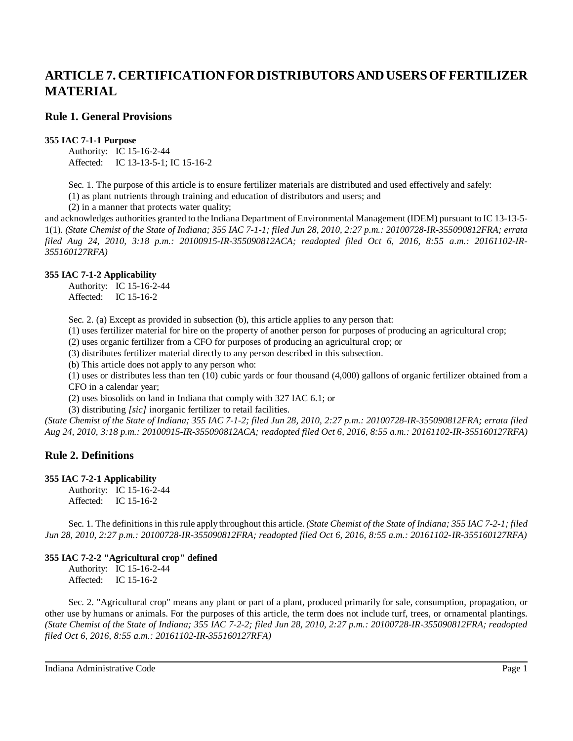# **ARTICLE 7. CERTIFICATION FOR DISTRIBUTORS AND USERS OF FERTILIZER MATERIAL**

# **Rule 1. General Provisions**

#### **355 IAC 7-1-1 Purpose**

Authority: IC 15-16-2-44 Affected: IC 13-13-5-1; IC 15-16-2

Sec. 1. The purpose of this article is to ensure fertilizer materials are distributed and used effectively and safely:

(1) as plant nutrients through training and education of distributors and users; and

(2) in a manner that protects water quality;

and acknowledges authorities granted to the Indiana Department of Environmental Management (IDEM) pursuant to IC 13-13-5- 1(1). (State Chemist of the State of Indiana; 355 IAC 7-1-1; filed Jun 28, 2010, 2:27 p.m.: 20100728-IR-355090812FRA; errata *filed Aug 24, 2010, 3:18 p.m.: 20100915-IR-355090812ACA; readopted filed Oct 6, 2016, 8:55 a.m.: 20161102-IR-355160127RFA)*

# **355 IAC 7-1-2 Applicability**

Authority: IC 15-16-2-44 Affected: IC 15-16-2

Sec. 2. (a) Except as provided in subsection (b), this article applies to any person that:

(1) uses fertilizer material for hire on the property of another person for purposes of producing an agricultural crop;

(2) uses organic fertilizer from a CFO for purposes of producing an agricultural crop; or

(3) distributes fertilizer material directly to any person described in this subsection.

(b) This article does not apply to any person who:

(1) uses or distributes less than ten (10) cubic yards or four thousand (4,000) gallons of organic fertilizer obtained from a CFO in a calendar year;

(2) uses biosolids on land in Indiana that comply with 327 IAC 6.1; or

(3) distributing *[sic]* inorganic fertilizer to retail facilities.

(State Chemist of the State of Indiana; 355 IAC 7-1-2; filed Jun 28, 2010, 2:27 p.m.: 20100728-IR-355090812FRA; errata filed *Aug 24, 2010, 3:18 p.m.: 20100915-IR-355090812ACA; readopted filed Oct 6, 2016, 8:55 a.m.: 20161102-IR-355160127RFA)*

# **Rule 2. Definitions**

# **355 IAC 7-2-1 Applicability**

Authority: IC 15-16-2-44 Affected: IC 15-16-2

Sec. 1. The definitions in thisrule apply throughout this article. *(State Chemist of the State of Indiana; 355 IAC 7-2-1; filed Jun 28, 2010, 2:27 p.m.: 20100728-IR-355090812FRA; readopted filed Oct 6, 2016, 8:55 a.m.: 20161102-IR-355160127RFA)*

# **355 IAC 7-2-2 "Agricultural crop" defined**

Authority: IC 15-16-2-44 Affected: IC 15-16-2

Sec. 2. "Agricultural crop" means any plant or part of a plant, produced primarily for sale, consumption, propagation, or other use by humans or animals. For the purposes of this article, the term does not include turf, trees, or ornamental plantings. *(State Chemist of the State of Indiana; 355 IAC 7-2-2; filed Jun 28, 2010, 2:27 p.m.: 20100728-IR-355090812FRA; readopted filed Oct 6, 2016, 8:55 a.m.: 20161102-IR-355160127RFA)*

Indiana Administrative Code Page 1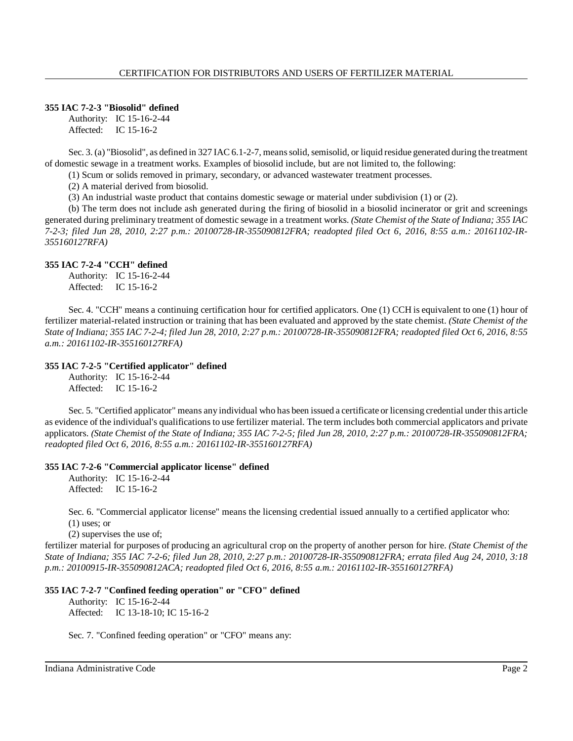# **355 IAC 7-2-3 "Biosolid" defined**

Authority: IC 15-16-2-44 Affected: IC 15-16-2

Sec. 3. (a) "Biosolid", as defined in 327 IAC 6.1-2-7, means solid, semisolid, or liquid residue generated during the treatment of domestic sewage in a treatment works. Examples of biosolid include, but are not limited to, the following:

(1) Scum or solids removed in primary, secondary, or advanced wastewater treatment processes.

(2) A material derived from biosolid.

(3) An industrial waste product that contains domestic sewage or material under subdivision (1) or (2).

(b) The term does not include ash generated during the firing of biosolid in a biosolid incinerator or grit and screenings generated during preliminary treatment of domestic sewage in a treatment works. *(State Chemist of the State of Indiana; 355 IAC 7-2-3; filed Jun 28, 2010, 2:27 p.m.: 20100728-IR-355090812FRA; readopted filed Oct 6, 2016, 8:55 a.m.: 20161102-IR-355160127RFA)*

# **355 IAC 7-2-4 "CCH" defined**

Authority: IC 15-16-2-44 Affected: IC 15-16-2

Sec. 4. "CCH" means a continuing certification hour for certified applicators. One (1) CCH is equivalent to one (1) hour of fertilizer material-related instruction or training that has been evaluated and approved by the state chemist. *(State Chemist of the* State of Indiana; 355 IAC 7-2-4; filed Jun 28, 2010, 2:27 p.m.: 20100728-IR-355090812FRA; readopted filed Oct 6, 2016, 8:55 *a.m.: 20161102-IR-355160127RFA)*

# **355 IAC 7-2-5 "Certified applicator" defined**

Authority: IC 15-16-2-44 Affected: IC 15-16-2

Sec. 5. "Certified applicator" means any individual who has been issued a certificate or licensing credential under this article as evidence of the individual's qualifications to use fertilizer material. The term includes both commercial applicators and private applicators. (State Chemist of the State of Indiana; 355 IAC 7-2-5; filed Jun 28, 2010, 2:27 p.m.: 20100728-IR-355090812FRA; *readopted filed Oct 6, 2016, 8:55 a.m.: 20161102-IR-355160127RFA)*

# **355 IAC 7-2-6 "Commercial applicator license" defined**

Authority: IC 15-16-2-44 Affected: IC 15-16-2

Sec. 6. "Commercial applicator license" means the licensing credential issued annually to a certified applicator who: (1) uses; or

(2) supervises the use of;

fertilizer material for purposes of producing an agricultural crop on the property of another person for hire. *(State Chemist of the* State of Indiana; 355 IAC 7-2-6; filed Jun 28, 2010, 2:27 p.m.: 20100728-IR-355090812FRA; errata filed Aug 24, 2010, 3:18 *p.m.: 20100915-IR-355090812ACA; readopted filed Oct 6, 2016, 8:55 a.m.: 20161102-IR-355160127RFA)*

# **355 IAC 7-2-7 "Confined feeding operation" or "CFO" defined**

Authority: IC 15-16-2-44 Affected: IC 13-18-10; IC 15-16-2

Sec. 7. "Confined feeding operation" or "CFO" means any: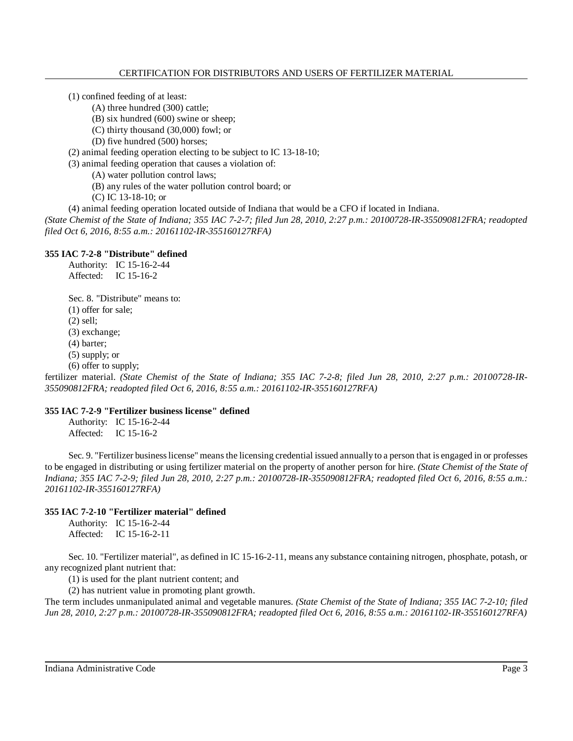- (1) confined feeding of at least:
	- (A) three hundred (300) cattle;
	- (B) six hundred (600) swine or sheep;
	- (C) thirty thousand (30,000) fowl; or
	- (D) five hundred (500) horses;
- (2) animal feeding operation electing to be subject to IC 13-18-10;
- (3) animal feeding operation that causes a violation of:
	- (A) water pollution control laws;
	- (B) any rules of the water pollution control board; or
	- (C) IC 13-18-10; or
- (4) animal feeding operation located outside of Indiana that would be a CFO if located in Indiana.

*(State Chemist of the State of Indiana; 355 IAC 7-2-7; filed Jun 28, 2010, 2:27 p.m.: 20100728-IR-355090812FRA; readopted filed Oct 6, 2016, 8:55 a.m.: 20161102-IR-355160127RFA)*

# **355 IAC 7-2-8 "Distribute" defined**

Authority: IC 15-16-2-44 Affected: IC 15-16-2

Sec. 8. "Distribute" means to: (1) offer for sale; (2) sell;

- 
- (3) exchange;
- (4) barter;
- (5) supply; or
- (6) offer to supply;

fertilizer material. (State Chemist of the State of Indiana; 355 IAC 7-2-8; filed Jun 28, 2010, 2:27 p.m.: 20100728-IR-*355090812FRA; readopted filed Oct 6, 2016, 8:55 a.m.: 20161102-IR-355160127RFA)*

# **355 IAC 7-2-9 "Fertilizer business license" defined**

Authority: IC 15-16-2-44 Affected: IC 15-16-2

Sec. 9. "Fertilizer businesslicense" meansthe licensing credential issued annually to a person that is engaged in or professes to be engaged in distributing or using fertilizer material on the property of another person for hire. *(State Chemist of the State of* Indiana; 355 IAC 7-2-9; filed Jun 28, 2010, 2:27 p.m.: 20100728-IR-355090812FRA; readopted filed Oct 6, 2016, 8:55 a.m.: *20161102-IR-355160127RFA)*

# **355 IAC 7-2-10 "Fertilizer material" defined**

|           | Authority: IC 15-16-2-44 |
|-----------|--------------------------|
| Affected: | IC $15-16-2-11$          |

Sec. 10. "Fertilizer material", as defined in IC 15-16-2-11, means any substance containing nitrogen, phosphate, potash, or any recognized plant nutrient that:

(1) is used for the plant nutrient content; and

(2) has nutrient value in promoting plant growth.

The term includes unmanipulated animal and vegetable manures. *(State Chemist of the State of Indiana; 355 IAC 7-2-10; filed Jun 28, 2010, 2:27 p.m.: 20100728-IR-355090812FRA; readopted filed Oct 6, 2016, 8:55 a.m.: 20161102-IR-355160127RFA)*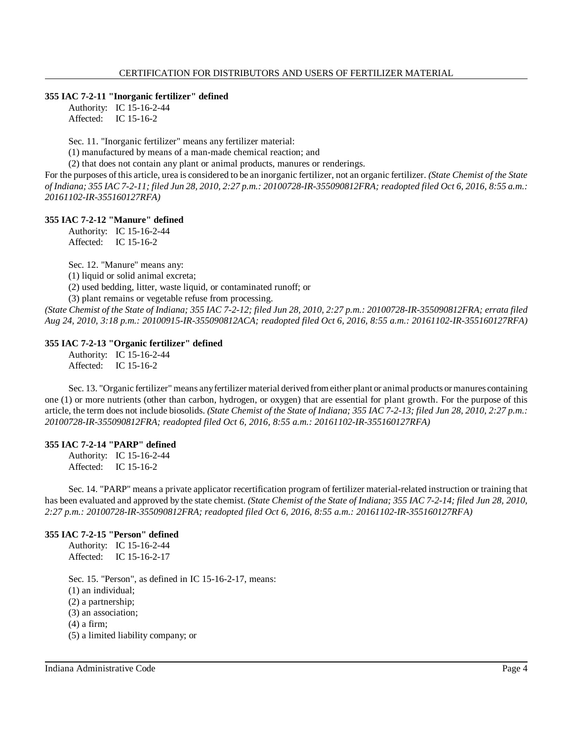# **355 IAC 7-2-11 "Inorganic fertilizer" defined**

Authority: IC 15-16-2-44 Affected: IC 15-16-2

Sec. 11. "Inorganic fertilizer" means any fertilizer material:

(1) manufactured by means of a man-made chemical reaction; and

(2) that does not contain any plant or animal products, manures or renderings.

For the purposes of this article, urea is considered to be an inorganic fertilizer, not an organic fertilizer. *(State Chemist of the State* of Indiana; 355 IAC 7-2-11; filed Jun 28, 2010, 2:27 p.m.: 20100728-IR-355090812FRA; readopted filed Oct 6, 2016, 8:55 a.m.: *20161102-IR-355160127RFA)*

# **355 IAC 7-2-12 "Manure" defined**

Authority: IC 15-16-2-44 Affected: IC 15-16-2

Sec. 12. "Manure" means any:

(1) liquid or solid animal excreta;

(2) used bedding, litter, waste liquid, or contaminated runoff; or

(3) plant remains or vegetable refuse from processing.

(State Chemist of the State of Indiana; 355 IAC 7-2-12; filed Jun 28, 2010, 2:27 p.m.: 20100728-IR-355090812FRA; errata filed *Aug 24, 2010, 3:18 p.m.: 20100915-IR-355090812ACA; readopted filed Oct 6, 2016, 8:55 a.m.: 20161102-IR-355160127RFA)*

# **355 IAC 7-2-13 "Organic fertilizer" defined**

Authority: IC 15-16-2-44 Affected: IC 15-16-2

Sec. 13. "Organic fertilizer" means anyfertilizer material derived fromeither plant or animal products or manures containing one (1) or more nutrients (other than carbon, hydrogen, or oxygen) that are essential for plant growth. For the purpose of this article, the term does not include biosolids. (State Chemist of the State of Indiana; 355 IAC 7-2-13; filed Jun 28, 2010, 2:27 p.m.: *20100728-IR-355090812FRA; readopted filed Oct 6, 2016, 8:55 a.m.: 20161102-IR-355160127RFA)*

# **355 IAC 7-2-14 "PARP" defined**

Authority: IC 15-16-2-44 Affected: IC 15-16-2

Sec. 14. "PARP" means a private applicator recertification program of fertilizer material-related instruction or training that has been evaluated and approved by the state chemist. (State Chemist of the State of Indiana; 355 IAC 7-2-14; filed Jun 28, 2010, *2:27 p.m.: 20100728-IR-355090812FRA; readopted filed Oct 6, 2016, 8:55 a.m.: 20161102-IR-355160127RFA)*

# **355 IAC 7-2-15 "Person" defined**

Authority: IC 15-16-2-44 Affected: IC 15-16-2-17

Sec. 15. "Person", as defined in IC 15-16-2-17, means: (1) an individual; (2) a partnership; (3) an association; (4) a firm; (5) a limited liability company; or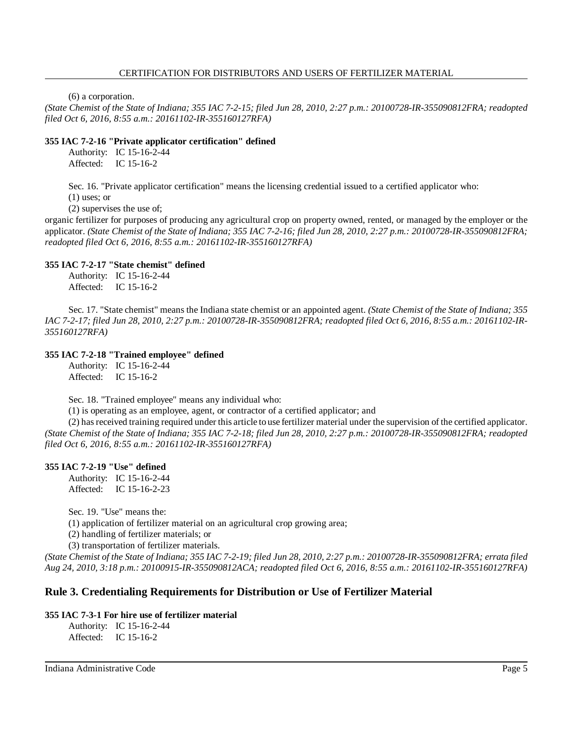#### CERTIFICATION FOR DISTRIBUTORS AND USERS OF FERTILIZER MATERIAL

(6) a corporation.

(State Chemist of the State of Indiana; 355 IAC 7-2-15; filed Jun 28, 2010, 2:27 p.m.: 20100728-IR-355090812FRA; readopted *filed Oct 6, 2016, 8:55 a.m.: 20161102-IR-355160127RFA)*

# **355 IAC 7-2-16 "Private applicator certification" defined**

Authority: IC 15-16-2-44 Affected: IC 15-16-2

Sec. 16. "Private applicator certification" means the licensing credential issued to a certified applicator who: (1) uses; or

(2) supervises the use of;

organic fertilizer for purposes of producing any agricultural crop on property owned, rented, or managed by the employer or the applicator. (State Chemist of the State of Indiana; 355 IAC 7-2-16; filed Jun 28, 2010, 2:27 p.m.: 20100728-IR-355090812FRA; *readopted filed Oct 6, 2016, 8:55 a.m.: 20161102-IR-355160127RFA)*

# **355 IAC 7-2-17 "State chemist" defined**

Authority: IC 15-16-2-44 Affected: IC 15-16-2

Sec. 17. "State chemist" means the Indiana state chemist or an appointed agent. *(State Chemist of the State of Indiana; 355* IAC 7-2-17; filed Jun 28, 2010, 2:27 p.m.: 20100728-IR-355090812FRA; readopted filed Oct 6, 2016, 8:55 a.m.: 20161102-IR-*355160127RFA)*

# **355 IAC 7-2-18 "Trained employee" defined**

Authority: IC 15-16-2-44 Affected: IC 15-16-2

Sec. 18. "Trained employee" means any individual who:

(1) is operating as an employee, agent, or contractor of a certified applicator; and

(2) hasreceived training required under this article to use fertilizer material under the supervision of the certified applicator. (State Chemist of the State of Indiana; 355 IAC 7-2-18; filed Jun 28, 2010, 2:27 p.m.: 20100728-IR-355090812FRA; readopted *filed Oct 6, 2016, 8:55 a.m.: 20161102-IR-355160127RFA)*

# **355 IAC 7-2-19 "Use" defined**

Authority: IC 15-16-2-44 Affected: IC 15-16-2-23

Sec. 19. "Use" means the:

(1) application of fertilizer material on an agricultural crop growing area;

(2) handling of fertilizer materials; or

(3) transportation of fertilizer materials.

(State Chemist of the State of Indiana; 355 IAC 7-2-19; filed Jun 28, 2010, 2:27 p.m.; 20100728-IR-355090812FRA; errata filed *Aug 24, 2010, 3:18 p.m.: 20100915-IR-355090812ACA; readopted filed Oct 6, 2016, 8:55 a.m.: 20161102-IR-355160127RFA)*

# **Rule 3. Credentialing Requirements for Distribution or Use of Fertilizer Material**

# **355 IAC 7-3-1 For hire use of fertilizer material**

Authority: IC 15-16-2-44 Affected: IC 15-16-2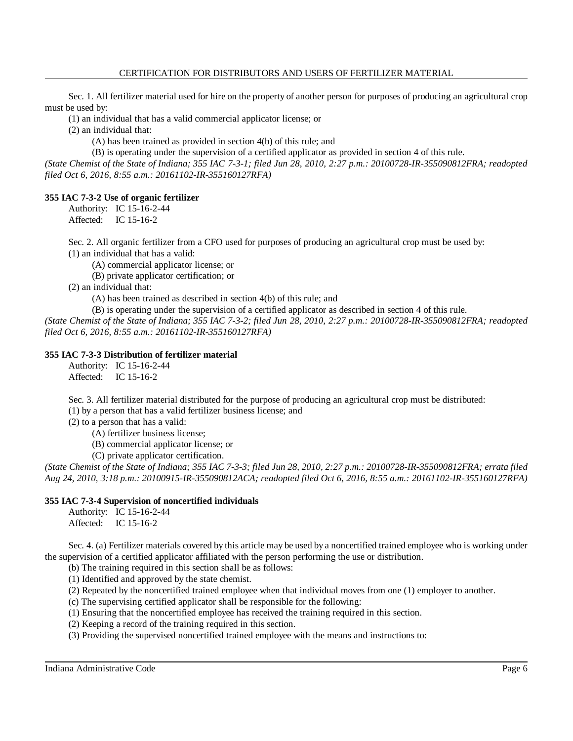Sec. 1. All fertilizer material used for hire on the property of another person for purposes of producing an agricultural crop must be used by:

(1) an individual that has a valid commercial applicator license; or

(2) an individual that:

(A) has been trained as provided in section 4(b) of this rule; and

(B) is operating under the supervision of a certified applicator as provided in section 4 of this rule.

*(State Chemist of the State of Indiana; 355 IAC 7-3-1; filed Jun 28, 2010, 2:27 p.m.: 20100728-IR-355090812FRA; readopted filed Oct 6, 2016, 8:55 a.m.: 20161102-IR-355160127RFA)*

# **355 IAC 7-3-2 Use of organic fertilizer**

Authority: IC 15-16-2-44 Affected: IC 15-16-2

Sec. 2. All organic fertilizer from a CFO used for purposes of producing an agricultural crop must be used by:

(1) an individual that has a valid:

(A) commercial applicator license; or

(B) private applicator certification; or

(2) an individual that:

(A) has been trained as described in section 4(b) of this rule; and

(B) is operating under the supervision of a certified applicator as described in section 4 of this rule. *(State Chemist of the State of Indiana; 355 IAC 7-3-2; filed Jun 28, 2010, 2:27 p.m.: 20100728-IR-355090812FRA; readopted filed Oct 6, 2016, 8:55 a.m.: 20161102-IR-355160127RFA)*

# **355 IAC 7-3-3 Distribution of fertilizer material**

Authority: IC 15-16-2-44 Affected: IC 15-16-2

Sec. 3. All fertilizer material distributed for the purpose of producing an agricultural crop must be distributed:

(1) by a person that has a valid fertilizer business license; and

(2) to a person that has a valid:

(A) fertilizer business license;

(B) commercial applicator license; or

(C) private applicator certification.

(State Chemist of the State of Indiana; 355 IAC 7-3-3; filed Jun 28, 2010, 2:27 p.m.: 20100728-IR-355090812FRA; errata filed *Aug 24, 2010, 3:18 p.m.: 20100915-IR-355090812ACA; readopted filed Oct 6, 2016, 8:55 a.m.: 20161102-IR-355160127RFA)*

# **355 IAC 7-3-4 Supervision of noncertified individuals**

Authority: IC 15-16-2-44 Affected: IC 15-16-2

Sec. 4. (a) Fertilizer materials covered by this article may be used by a noncertified trained employee who is working under the supervision of a certified applicator affiliated with the person performing the use or distribution.

(b) The training required in this section shall be as follows:

(1) Identified and approved by the state chemist.

(2) Repeated by the noncertified trained employee when that individual moves from one (1) employer to another.

(c) The supervising certified applicator shall be responsible for the following:

(1) Ensuring that the noncertified employee has received the training required in this section.

(2) Keeping a record of the training required in this section.

(3) Providing the supervised noncertified trained employee with the means and instructions to: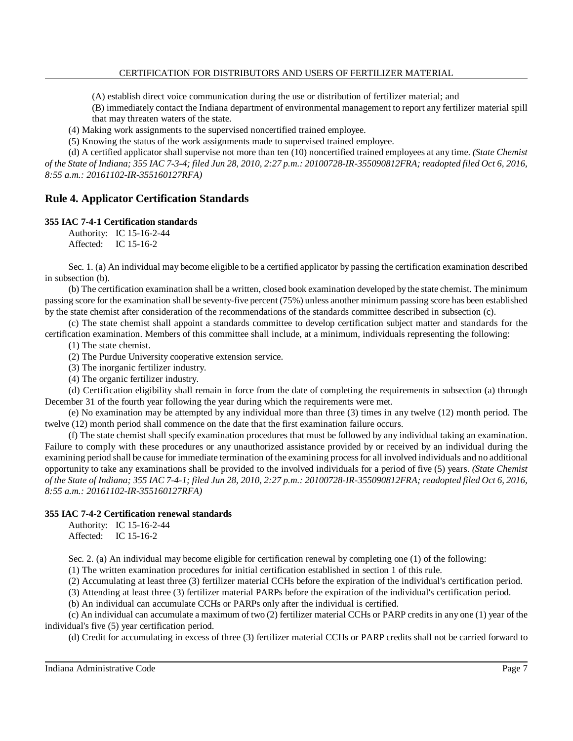(A) establish direct voice communication during the use or distribution of fertilizer material; and

(B) immediately contact the Indiana department of environmental management to report any fertilizer material spill that may threaten waters of the state.

(4) Making work assignments to the supervised noncertified trained employee.

(5) Knowing the status of the work assignments made to supervised trained employee.

(d) A certified applicator shall supervise not more than ten (10) noncertified trained employees at any time. *(State Chemist* of the State of Indiana; 355 IAC 7-3-4; filed Jun 28, 2010, 2:27 p.m.: 20100728-IR-355090812FRA; readopted filed Oct 6, 2016, *8:55 a.m.: 20161102-IR-355160127RFA)*

# **Rule 4. Applicator Certification Standards**

# **355 IAC 7-4-1 Certification standards**

Authority: IC 15-16-2-44 Affected: IC 15-16-2

Sec. 1. (a) An individual may become eligible to be a certified applicator by passing the certification examination described in subsection (b).

(b) The certification examination shall be a written, closed book examination developed by the state chemist. The minimum passing score for the examination shall be seventy-five percent (75%) unless another minimum passing score has been established by the state chemist after consideration of the recommendations of the standards committee described in subsection (c).

(c) The state chemist shall appoint a standards committee to develop certification subject matter and standards for the certification examination. Members of this committee shall include, at a minimum, individuals representing the following:

(1) The state chemist.

(2) The Purdue University cooperative extension service.

(3) The inorganic fertilizer industry.

(4) The organic fertilizer industry.

(d) Certification eligibility shall remain in force from the date of completing the requirements in subsection (a) through December 31 of the fourth year following the year during which the requirements were met.

(e) No examination may be attempted by any individual more than three (3) times in any twelve (12) month period. The twelve (12) month period shall commence on the date that the first examination failure occurs.

(f) The state chemist shall specify examination procedures that must be followed by any individual taking an examination. Failure to comply with these procedures or any unauthorized assistance provided by or received by an individual during the examining period shall be cause for immediate termination of the examining processfor all involved individuals and no additional opportunity to take any examinations shall be provided to the involved individuals for a period of five (5) years. *(State Chemist* of the State of Indiana; 355 IAC 7-4-1; filed Jun 28, 2010, 2:27 p.m.: 20100728-IR-355090812FRA; readopted filed Oct 6, 2016, *8:55 a.m.: 20161102-IR-355160127RFA)*

# **355 IAC 7-4-2 Certification renewal standards**

Authority: IC 15-16-2-44 Affected: IC 15-16-2

Sec. 2. (a) An individual may become eligible for certification renewal by completing one (1) of the following:

(1) The written examination procedures for initial certification established in section 1 of this rule.

(2) Accumulating at least three (3) fertilizer material CCHs before the expiration of the individual's certification period.

(3) Attending at least three (3) fertilizer material PARPs before the expiration of the individual's certification period.

(b) An individual can accumulate CCHs or PARPs only after the individual is certified.

(c) An individual can accumulate a maximum of two (2) fertilizer material CCHs or PARP credits in any one (1) year of the individual's five (5) year certification period.

(d) Credit for accumulating in excess of three (3) fertilizer material CCHs or PARP credits shall not be carried forward to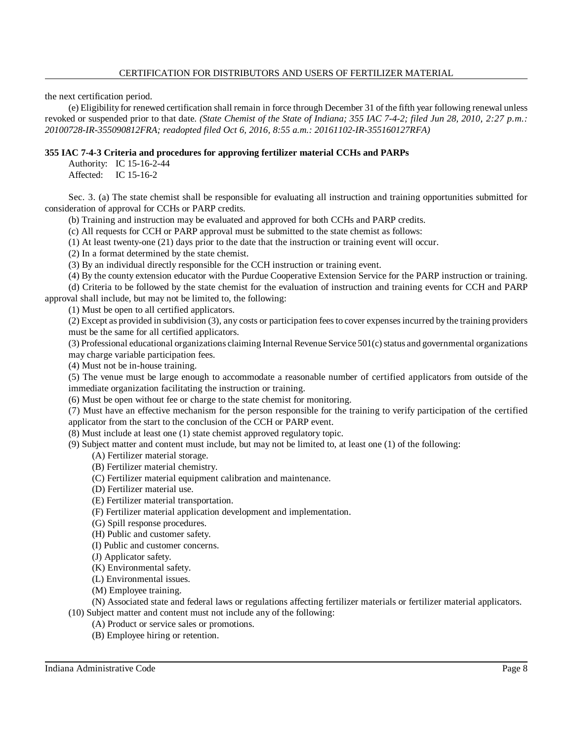#### CERTIFICATION FOR DISTRIBUTORS AND USERS OF FERTILIZER MATERIAL

the next certification period.

(e) Eligibility for renewed certification shall remain in force through December 31 of the fifth year following renewal unless revoked or suspended prior to that date. *(State Chemist of the State of Indiana; 355 IAC 7-4-2; filed Jun 28, 2010, 2:27 p.m.: 20100728-IR-355090812FRA; readopted filed Oct 6, 2016, 8:55 a.m.: 20161102-IR-355160127RFA)*

# **355 IAC 7-4-3 Criteria and procedures for approving fertilizer material CCHs and PARPs**

Authority: IC 15-16-2-44 Affected: IC 15-16-2

Sec. 3. (a) The state chemist shall be responsible for evaluating all instruction and training opportunities submitted for consideration of approval for CCHs or PARP credits.

(b) Training and instruction may be evaluated and approved for both CCHs and PARP credits.

(c) All requests for CCH or PARP approval must be submitted to the state chemist as follows:

(1) At least twenty-one (21) days prior to the date that the instruction or training event will occur.

(2) In a format determined by the state chemist.

(3) By an individual directly responsible for the CCH instruction or training event.

(4) By the county extension educator with the Purdue Cooperative Extension Service for the PARP instruction or training.

(d) Criteria to be followed by the state chemist for the evaluation of instruction and training events for CCH and PARP approval shall include, but may not be limited to, the following:

(1) Must be open to all certified applicators.

(2) Except as provided in subdivision (3), any costs or participation feesto cover expensesincurred by the training providers must be the same for all certified applicators.

(3) Professional educational organizations claiming Internal Revenue Service 501(c) status and governmental organizations may charge variable participation fees.

(4) Must not be in-house training.

(5) The venue must be large enough to accommodate a reasonable number of certified applicators from outside of the immediate organization facilitating the instruction or training.

(6) Must be open without fee or charge to the state chemist for monitoring.

(7) Must have an effective mechanism for the person responsible for the training to verify participation of the certified applicator from the start to the conclusion of the CCH or PARP event.

(8) Must include at least one (1) state chemist approved regulatory topic.

(9) Subject matter and content must include, but may not be limited to, at least one (1) of the following:

- (A) Fertilizer material storage.
- (B) Fertilizer material chemistry.
- (C) Fertilizer material equipment calibration and maintenance.
- (D) Fertilizer material use.
- (E) Fertilizer material transportation.
- (F) Fertilizer material application development and implementation.
- (G) Spill response procedures.
- (H) Public and customer safety.

(I) Public and customer concerns.

- (J) Applicator safety.
- (K) Environmental safety.
- (L) Environmental issues.
- (M) Employee training.

(N) Associated state and federal laws or regulations affecting fertilizer materials or fertilizer material applicators.

- (10) Subject matter and content must not include any of the following: (A) Product or service sales or promotions.
	- (B) Employee hiring or retention.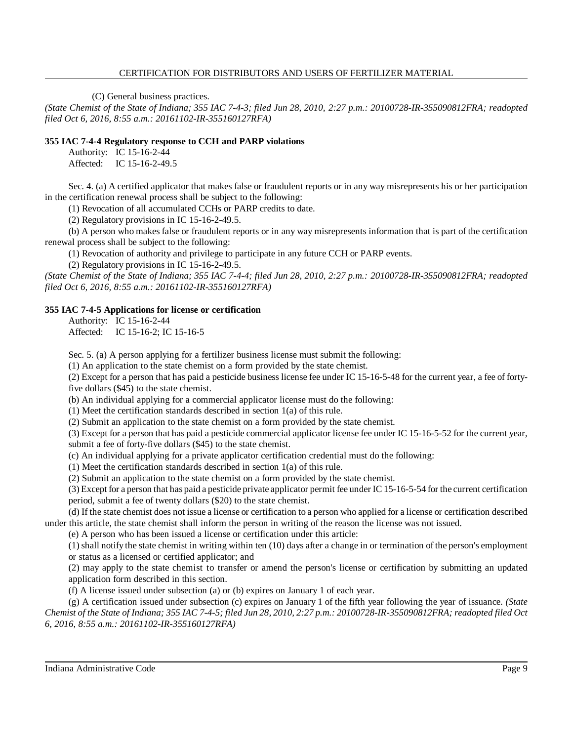# CERTIFICATION FOR DISTRIBUTORS AND USERS OF FERTILIZER MATERIAL

(C) General business practices.

*(State Chemist of the State of Indiana; 355 IAC 7-4-3; filed Jun 28, 2010, 2:27 p.m.: 20100728-IR-355090812FRA; readopted filed Oct 6, 2016, 8:55 a.m.: 20161102-IR-355160127RFA)*

# **355 IAC 7-4-4 Regulatory response to CCH and PARP violations**

Authority: IC 15-16-2-44 Affected: IC 15-16-2-49.5

Sec. 4. (a) A certified applicator that makes false or fraudulent reports or in any way misrepresents his or her participation in the certification renewal process shall be subject to the following:

(1) Revocation of all accumulated CCHs or PARP credits to date.

(2) Regulatory provisions in IC 15-16-2-49.5.

(b) A person who makes false or fraudulent reports or in any way misrepresents information that is part of the certification renewal process shall be subject to the following:

(1) Revocation of authority and privilege to participate in any future CCH or PARP events.

(2) Regulatory provisions in IC 15-16-2-49.5.

*(State Chemist of the State of Indiana; 355 IAC 7-4-4; filed Jun 28, 2010, 2:27 p.m.: 20100728-IR-355090812FRA; readopted filed Oct 6, 2016, 8:55 a.m.: 20161102-IR-355160127RFA)*

# **355 IAC 7-4-5 Applications for license or certification**

Authority: IC 15-16-2-44 Affected: IC 15-16-2; IC 15-16-5

Sec. 5. (a) A person applying for a fertilizer business license must submit the following:

(1) An application to the state chemist on a form provided by the state chemist.

(2) Except for a person that has paid a pesticide business license fee under IC 15-16-5-48 for the current year, a fee of fortyfive dollars (\$45) to the state chemist.

(b) An individual applying for a commercial applicator license must do the following:

(1) Meet the certification standards described in section 1(a) of this rule.

(2) Submit an application to the state chemist on a form provided by the state chemist.

(3) Except for a person that has paid a pesticide commercial applicator license fee under IC 15-16-5-52 for the current year, submit a fee of forty-five dollars (\$45) to the state chemist.

(c) An individual applying for a private applicator certification credential must do the following:

(1) Meet the certification standards described in section 1(a) of this rule.

(2) Submit an application to the state chemist on a form provided by the state chemist.

(3) Except for a person that has paid a pesticide private applicator permit fee under IC 15-16-5-54 for the current certification period, submit a fee of twenty dollars (\$20) to the state chemist.

(d) If the state chemist does not issue a license or certification to a person who applied for a license or certification described under this article, the state chemist shall inform the person in writing of the reason the license was not issued.

(e) A person who has been issued a license or certification under this article:

 $(1)$  shall notify the state chemist in writing within ten  $(10)$  days after a change in or termination of the person's employment or status as a licensed or certified applicator; and

(2) may apply to the state chemist to transfer or amend the person's license or certification by submitting an updated application form described in this section.

(f) A license issued under subsection (a) or (b) expires on January 1 of each year.

(g) A certification issued under subsection (c) expires on January 1 of the fifth year following the year of issuance. *(State* Chemist of the State of Indiana; 355 IAC 7-4-5; filed Jun 28, 2010, 2:27 p.m.: 20100728-IR-355090812FRA; readopted filed Oct *6, 2016, 8:55 a.m.: 20161102-IR-355160127RFA)*